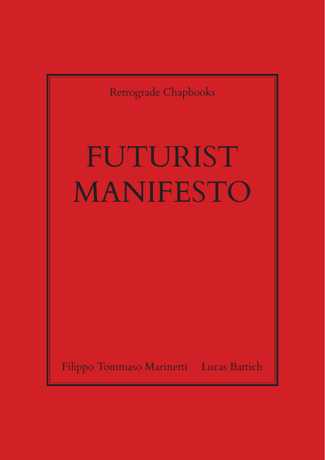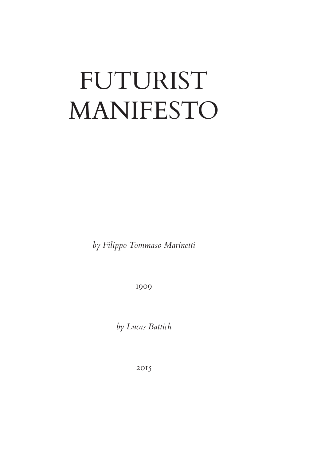## FUTURIST MANIFESTO

*by Filippo Tommaso Marinetti*

1909

*by Lucas Battich*

2015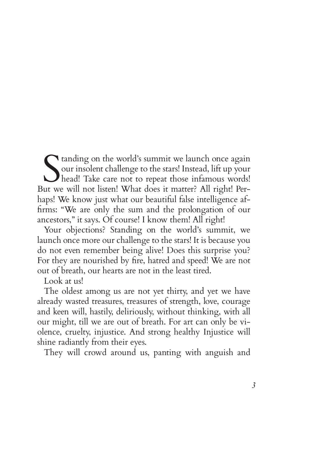Standing on the world's summit we launch once again<br>
our insolent challenge to the stars! Instead, lift up your<br>
head! Take care not to repeat those infamous words!<br>
iut we will not listen! What does it matter? All right! our insolent challenge to the stars! Instead, lift up your head! Take care not to repeat those infamous words! But we will not listen! What does it matter? All right! Perhaps! We know just what our beautiful false intelligence affirms: "We are only the sum and the prolongation of our ancestors," it says. Of course! I know them! All right!

Your objections? Standing on the world's summit, we launch once more our challenge to the stars! It is because you do not even remember being alive! Does this surprise you? For they are nourished by fire, hatred and speed! We are not out of breath, our hearts are not in the least tired.

Look at us!

The oldest among us are not yet thirty, and yet we have already wasted treasures, treasures of strength, love, courage and keen will, hastily, deliriously, without thinking, with all our might, till we are out of breath. For art can only be violence, cruelty, injustice. And strong healthy Injustice will shine radiantly from their eyes.

They will crowd around us, panting with anguish and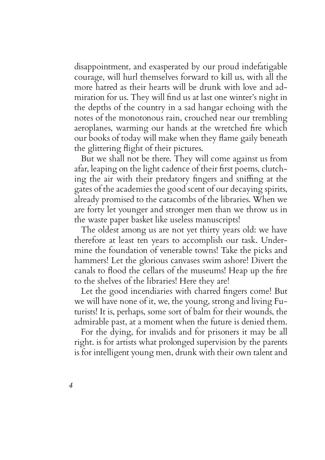disappointment, and exasperated by our proud indefatigable courage, will hurl themselves forward to kill us, with all the more hatred as their hearts will be drunk with love and admiration for us. They will find us at last one winter's night in the depths of the country in a sad hangar echoing with the notes of the monotonous rain, crouched near our trembling aeroplanes, warming our hands at the wretched fire which our books of today will make when they flame gaily beneath the glittering flight of their pictures.

But we shall not be there. They will come against us from afar, leaping on the light cadence of their first poems, clutching the air with their predatory fingers and sniffing at the gates of the academies the good scent of our decaying spirits, already promised to the catacombs of the libraries. When we are forty let younger and stronger men than we throw us in the waste paper basket like useless manuscripts!

The oldest among us are not yet thirty years old: we have therefore at least ten years to accomplish our task. Undermine the foundation of venerable towns! Take the picks and hammers! Let the glorious canvases swim ashore! Divert the canals to flood the cellars of the museums! Heap up the fire to the shelves of the libraries! Here they are!

Let the good incendiaries with charred fingers come! But we will have none of it, we, the young, strong and living Futurists! It is, perhaps, some sort of balm for their wounds, the admirable past, at a moment when the future is denied them.

For the dying, for invalids and for prisoners it may be all right. is for artists what prolonged supervision by the parents is for intelligent young men, drunk with their own talent and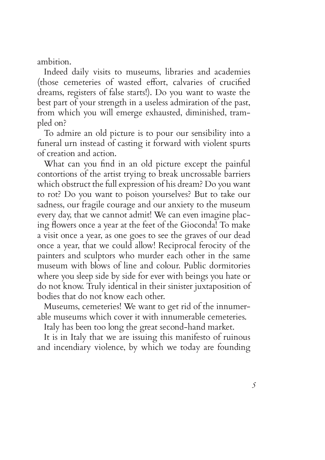ambition.

Indeed daily visits to museums, libraries and academies (those cemeteries of wasted effort, calvaries of crucified dreams, registers of false starts!). Do you want to waste the best part of your strength in a useless admiration of the past, from which you will emerge exhausted, diminished, trampled on?

To admire an old picture is to pour our sensibility into a funeral urn instead of casting it forward with violent spurts of creation and action.

What can you find in an old picture except the painful contortions of the artist trying to break uncrossable barriers which obstruct the full expression of his dream? Do you want to rot? Do you want to poison yourselves? But to take our sadness, our fragile courage and our anxiety to the museum every day, that we cannot admit! We can even imagine placing flowers once a year at the feet of the Gioconda! To make a visit once a year, as one goes to see the graves of our dead once a year, that we could allow! Reciprocal ferocity of the painters and sculptors who murder each other in the same museum with blows of line and colour. Public dormitories where you sleep side by side for ever with beings you hate or do not know. Truly identical in their sinister juxtaposition of bodies that do not know each other.

Museums, cemeteries! We want to get rid of the innumerable museums which cover it with innumerable cemeteries.

Italy has been too long the great second-hand market.

It is in Italy that we are issuing this manifesto of ruinous and incendiary violence, by which we today are founding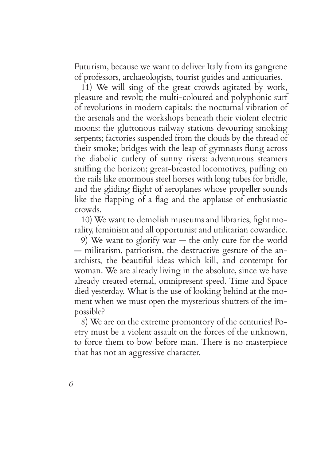Futurism, because we want to deliver Italy from its gangrene of professors, archaeologists, tourist guides and antiquaries.

11) We will sing of the great crowds agitated by work, pleasure and revolt; the multi-coloured and polyphonic surf of revolutions in modern capitals: the nocturnal vibration of the arsenals and the workshops beneath their violent electric moons: the gluttonous railway stations devouring smoking serpents; factories suspended from the clouds by the thread of their smoke; bridges with the leap of gymnasts flung across the diabolic cutlery of sunny rivers: adventurous steamers sniffing the horizon; great-breasted locomotives, puffing on the rails like enormous steel horses with long tubes for bridle, and the gliding flight of aeroplanes whose propeller sounds like the flapping of a flag and the applause of enthusiastic crowds.

10) We want to demolish museums and libraries, fight morality, feminism and all opportunist and utilitarian cowardice.

9) We want to glorify war — the only cure for the world — militarism, patriotism, the destructive gesture of the anarchists, the beautiful ideas which kill, and contempt for woman. We are already living in the absolute, since we have already created eternal, omnipresent speed. Time and Space died yesterday. What is the use of looking behind at the moment when we must open the mysterious shutters of the impossible?

8) We are on the extreme promontory of the centuries! Poetry must be a violent assault on the forces of the unknown, to force them to bow before man. There is no masterpiece that has not an aggressive character.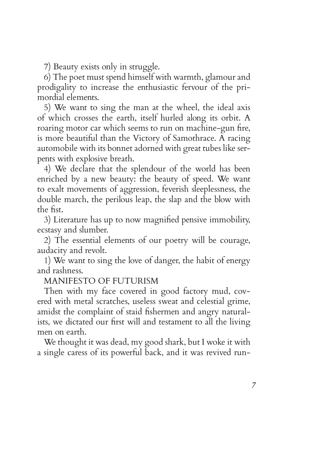7) Beauty exists only in struggle.

6) The poet must spend himself with warmth, glamour and prodigality to increase the enthusiastic fervour of the primordial elements.

5) We want to sing the man at the wheel, the ideal axis of which crosses the earth, itself hurled along its orbit. A roaring motor car which seems to run on machine-gun fire, is more beautiful than the Victory of Samothrace. A racing automobile with its bonnet adorned with great tubes like serpents with explosive breath.

4) We declare that the splendour of the world has been enriched by a new beauty: the beauty of speed. We want to exalt movements of aggression, feverish sleeplessness, the double march, the perilous leap, the slap and the blow with the fist.

3) Literature has up to now magnified pensive immobility, ecstasy and slumber.

2) The essential elements of our poetry will be courage, audacity and revolt.

1) We want to sing the love of danger, the habit of energy and rashness.

## MANIFESTO OF FUTURISM

Then with my face covered in good factory mud, covered with metal scratches, useless sweat and celestial grime, amidst the complaint of staid fishermen and angry naturalists, we dictated our first will and testament to all the living men on earth.

We thought it was dead, my good shark, but I woke it with a single caress of its powerful back, and it was revived run-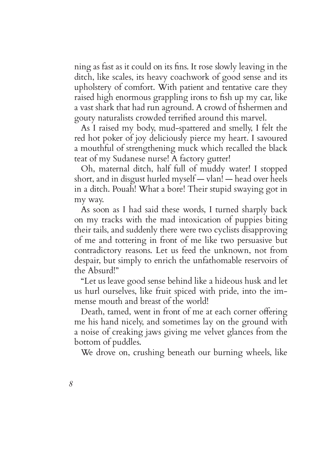ning as fast as it could on its fins. It rose slowly leaving in the ditch, like scales, its heavy coachwork of good sense and its upholstery of comfort. With patient and tentative care they raised high enormous grappling irons to fish up my car, like a vast shark that had run aground. A crowd of fishermen and gouty naturalists crowded terrified around this marvel.

As I raised my body, mud-spattered and smelly, I felt the red hot poker of joy deliciously pierce my heart. I savoured a mouthful of strengthening muck which recalled the black teat of my Sudanese nurse! A factory gutter!

Oh, maternal ditch, half full of muddy water! I stopped short, and in disgust hurled myself — vlan! — head over heels in a ditch. Pouah! What a bore! Their stupid swaying got in my way.

As soon as I had said these words, I turned sharply back on my tracks with the mad intoxication of puppies biting their tails, and suddenly there were two cyclists disapproving of me and tottering in front of me like two persuasive but contradictory reasons. Let us feed the unknown, not from despair, but simply to enrich the unfathomable reservoirs of the Absurd!"

"Let us leave good sense behind like a hideous husk and let us hurl ourselves, like fruit spiced with pride, into the immense mouth and breast of the world!

Death, tamed, went in front of me at each corner offering me his hand nicely, and sometimes lay on the ground with a noise of creaking jaws giving me velvet glances from the bottom of puddles.

We drove on, crushing beneath our burning wheels, like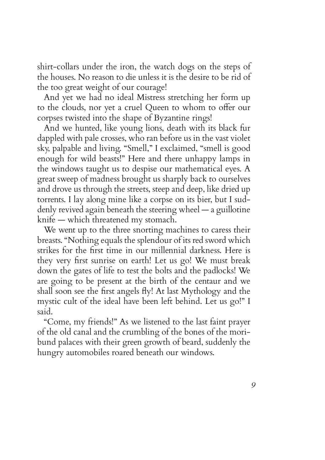shirt-collars under the iron, the watch dogs on the steps of the houses. No reason to die unless it is the desire to be rid of the too great weight of our courage!

And yet we had no ideal Mistress stretching her form up to the clouds, nor yet a cruel Queen to whom to offer our corpses twisted into the shape of Byzantine rings!

And we hunted, like young lions, death with its black fur dappled with pale crosses, who ran before us in the vast violet sky, palpable and living. "Smell," I exclaimed, "smell is good enough for wild beasts!" Here and there unhappy lamps in the windows taught us to despise our mathematical eyes. A great sweep of madness brought us sharply back to ourselves and drove us through the streets, steep and deep, like dried up torrents. I lay along mine like a corpse on its bier, but I suddenly revived again beneath the steering wheel — a guillotine knife — which threatened my stomach.

We went up to the three snorting machines to caress their breasts. "Nothing equals the splendour of its red sword which strikes for the first time in our millennial darkness. Here is they very first sunrise on earth! Let us go! We must break down the gates of life to test the bolts and the padlocks! We are going to be present at the birth of the centaur and we shall soon see the first angels fly! At last Mythology and the mystic cult of the ideal have been left behind. Let us go!" I said.

"Come, my friends!" As we listened to the last faint prayer of the old canal and the crumbling of the bones of the moribund palaces with their green growth of beard, suddenly the hungry automobiles roared beneath our windows.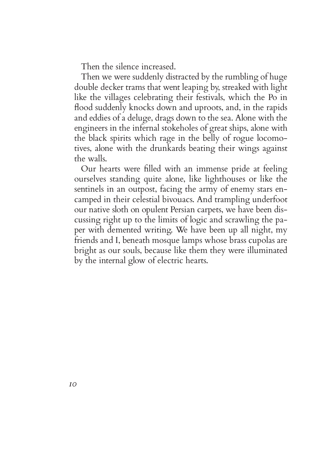Then the silence increased.

Then we were suddenly distracted by the rumbling of huge double decker trams that went leaping by, streaked with light like the villages celebrating their festivals, which the Po in flood suddenly knocks down and uproots, and, in the rapids and eddies of a deluge, drags down to the sea. Alone with the engineers in the infernal stokeholes of great ships, alone with the black spirits which rage in the belly of rogue locomotives, alone with the drunkards beating their wings against the walls.

Our hearts were filled with an immense pride at feeling ourselves standing quite alone, like lighthouses or like the sentinels in an outpost, facing the army of enemy stars encamped in their celestial bivouacs. And trampling underfoot our native sloth on opulent Persian carpets, we have been discussing right up to the limits of logic and scrawling the paper with demented writing. We have been up all night, my friends and I, beneath mosque lamps whose brass cupolas are bright as our souls, because like them they were illuminated by the internal glow of electric hearts.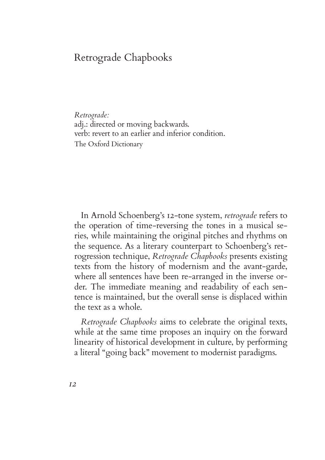## Retrograde Chapbooks

*Retrograde:* adj.: directed or moving backwards. verb: revert to an earlier and inferior condition. The Oxford Dictionary

In Arnold Schoenberg's 12-tone system, *retrograde* refers to the operation of time-reversing the tones in a musical series, while maintaining the original pitches and rhythms on the sequence. As a literary counterpart to Schoenberg's retrogression technique, *Retrograde Chapbooks* presents existing texts from the history of modernism and the avant-garde, where all sentences have been re-arranged in the inverse order. The immediate meaning and readability of each sentence is maintained, but the overall sense is displaced within the text as a whole.

*Retrograde Chapbooks* aims to celebrate the original texts, while at the same time proposes an inquiry on the forward linearity of historical development in culture, by performing a literal "going back" movement to modernist paradigms.